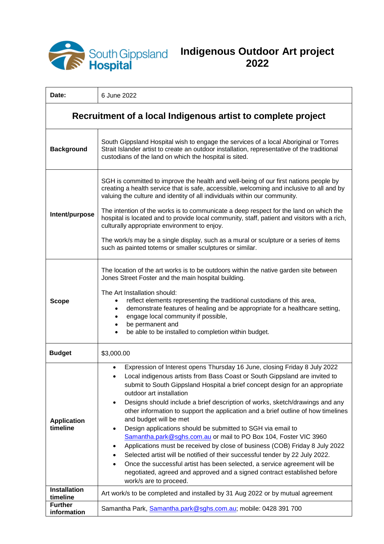

## **Indigenous Outdoor Art project 2022**

| Date:                                                        | 6 June 2022                                                                                                                                                                                                                                                                                                                                                                                                                                                                                                                                                                                                                                                                                                                                                                                                                                                                                                                                                                            |
|--------------------------------------------------------------|----------------------------------------------------------------------------------------------------------------------------------------------------------------------------------------------------------------------------------------------------------------------------------------------------------------------------------------------------------------------------------------------------------------------------------------------------------------------------------------------------------------------------------------------------------------------------------------------------------------------------------------------------------------------------------------------------------------------------------------------------------------------------------------------------------------------------------------------------------------------------------------------------------------------------------------------------------------------------------------|
| Recruitment of a local Indigenous artist to complete project |                                                                                                                                                                                                                                                                                                                                                                                                                                                                                                                                                                                                                                                                                                                                                                                                                                                                                                                                                                                        |
| <b>Background</b>                                            | South Gippsland Hospital wish to engage the services of a local Aboriginal or Torres<br>Strait Islander artist to create an outdoor installation, representative of the traditional<br>custodians of the land on which the hospital is sited.                                                                                                                                                                                                                                                                                                                                                                                                                                                                                                                                                                                                                                                                                                                                          |
| Intent/purpose                                               | SGH is committed to improve the health and well-being of our first nations people by<br>creating a health service that is safe, accessible, welcoming and inclusive to all and by<br>valuing the culture and identity of all individuals within our community.<br>The intention of the works is to communicate a deep respect for the land on which the<br>hospital is located and to provide local community, staff, patient and visitors with a rich,<br>culturally appropriate environment to enjoy.<br>The work/s may be a single display, such as a mural or sculpture or a series of items<br>such as painted totems or smaller sculptures or similar.                                                                                                                                                                                                                                                                                                                           |
| <b>Scope</b>                                                 | The location of the art works is to be outdoors within the native garden site between<br>Jones Street Foster and the main hospital building.<br>The Art Installation should:<br>reflect elements representing the traditional custodians of this area,<br>demonstrate features of healing and be appropriate for a healthcare setting,<br>engage local community if possible,<br>٠<br>be permanent and<br>٠<br>be able to be installed to completion within budget.                                                                                                                                                                                                                                                                                                                                                                                                                                                                                                                    |
| <b>Budget</b>                                                | \$3,000.00                                                                                                                                                                                                                                                                                                                                                                                                                                                                                                                                                                                                                                                                                                                                                                                                                                                                                                                                                                             |
| <b>Application</b><br>timeline                               | Expression of Interest opens Thursday 16 June, closing Friday 8 July 2022<br>Local indigenous artists from Bass Coast or South Gippsland are invited to<br>submit to South Gippsland Hospital a brief concept design for an appropriate<br>outdoor art installation<br>Designs should include a brief description of works, sketch/drawings and any<br>$\bullet$<br>other information to support the application and a brief outline of how timelines<br>and budget will be met<br>Design applications should be submitted to SGH via email to<br>٠<br>Samantha.park@sghs.com.au or mail to PO Box 104, Foster VIC 3960<br>Applications must be received by close of business (COB) Friday 8 July 2022<br>Selected artist will be notified of their successful tender by 22 July 2022.<br>Once the successful artist has been selected, a service agreement will be<br>$\bullet$<br>negotiated, agreed and approved and a signed contract established before<br>work/s are to proceed. |
| <b>Installation</b><br>timeline                              | Art work/s to be completed and installed by 31 Aug 2022 or by mutual agreement                                                                                                                                                                                                                                                                                                                                                                                                                                                                                                                                                                                                                                                                                                                                                                                                                                                                                                         |
| <b>Further</b><br>information                                | Samantha Park, Samantha.park@sghs.com.au; mobile: 0428 391 700                                                                                                                                                                                                                                                                                                                                                                                                                                                                                                                                                                                                                                                                                                                                                                                                                                                                                                                         |